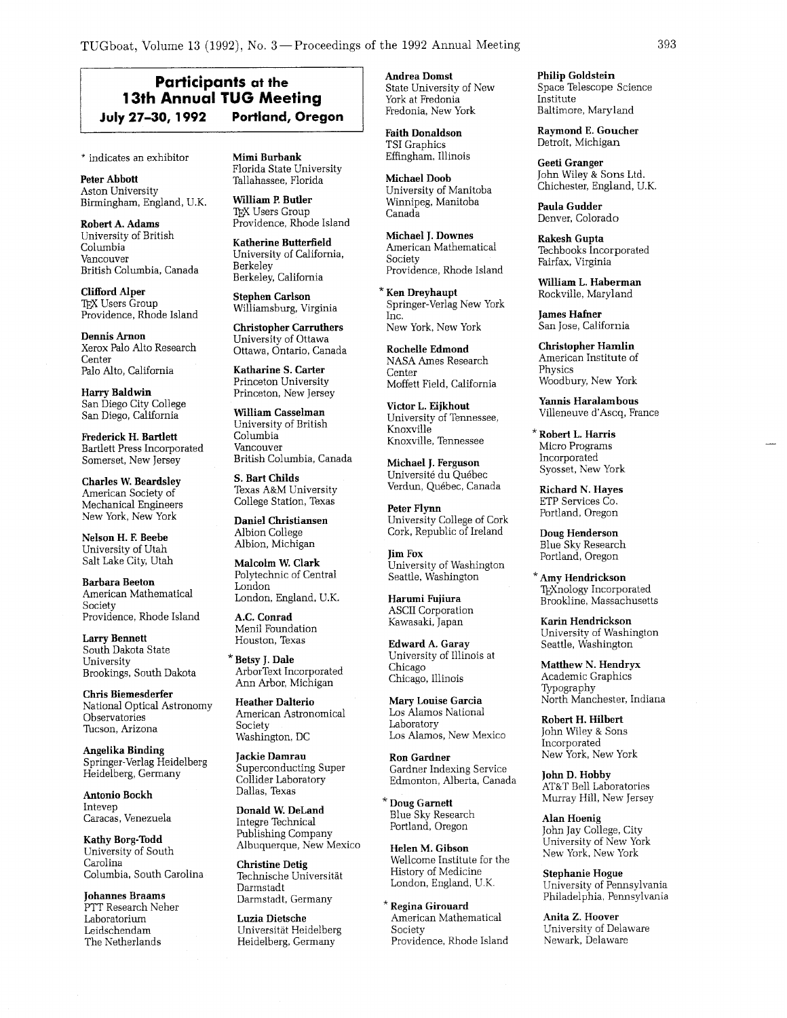## **Participants at the 111.1 PUGBoot, Volume 13 (1992), No. 3— Proceedings of the 1992 Annual Meeting and the state of the state of the state of the method in the distorted present of New Figure 1992 <b>Portland, Oregon** Tredomia, New Tall abs

\* indicates an exhibitor

Peter Abbott Aston University Birmingham, England, U.K.

Robert A. Adams University of British Columbia Vancouver British Columbia, Canada

Clifford Alper *QX* Users Group Providence, Rhode Island

Dennis Arnon Xerox Palo Alto Research Center Palo Alto, California

Harry Baldwin San Diego City College San Diego, California

Frederick H. Bartlett Bartlett Press Incorporated Somerset, New Jersey

Charles W. Beardsley American Society of Mechanical Engineers New York, New York

Nelson H. **E** Beebe University of Utah Salt Lake City, Utah

Barbara Beeton American Mathematical Society Providence, Rhode Island

Larry Bennett South Dakota State University Brookings, South Dakota

Chris Biemesderfer National Optical Astronomy Observatories Tucson, Arizona

Angelika Binding Springer-Verlag Heidelberg Heidelberg, Germany

Antonio Bockh Intevep Caracas, Venezuela

Kathy Borg-Todd University of South Carolina Columbia, South Carolina

Johannes Braams PTT Research Neher Laboratorium Leidschendam The Netherlands

Mimi Burbank Florida State University Tallahassee, Florida

William **P.** Butler *QX* Users Group Providence, Rhode Island

Katherine Butterfield University of California, Berkeley Berkeley, California

Stephen Carlson Williamsburg, Virginia Christopher Carruthers

University of Ottawa Ottawa, Ontario, Canada

Katharine S. Carter Princeton University Princeton, New Jersey

William Casselman University of British Columbia Vancouver British Columbia, Canada

S. Bart Childs Texas A&M University College Station, Texas

Daniel Christiansen Albion College Albion, Michigan

Malcolm W. Clark Polytechnic of Central London London, England, U.K.

A.C. Conrad Menil Foundation Houston, Texas

\*Betsy J. Dale ArborText Incorporated Ann Arbor, Michigan

Heather Dalterio American Astronomical Society Washington, DC

Jackie Damrau Superconducting Super Collider Laboratory Dallas, Texas

Donald W. DeLand Integre Technical Publishing Company Albuquerque, New Mexico

Christine Detig Technische Universitat Darmstadt Darmstadt, Germany

Luzia Dietsche Universitat Heidelberg Heidelberg, Germany

Andrea Domst State University of New York at Fredonia Fredonia, New York

Faith Donaldson TSI Graphics Effingham, Illinois

Michael Doob University of Manitoba Winnipeg, Manitoba Canada

Michael J. Downes American Mathematical Society Providence, Rhode Island

Ken Dreyhaupt Springer-Verlag New York Inc . New York, New York

Rochelle Edmond NASA Ames Research Center Moffett Field, California

Victor L. Eijkhout University of Tennessee, Knoxville Knoxville, Tennessee

Michael J. Ferguson Universite du Qu6bec Verdun, Quebec, Canada

Peter Flynn University College of Cork Cork, Republic of Ireland

Jim Fox University of Washington Seattle, Washington

Harumi Fujiura ASCII Corporation Kawasaki, Japan

Edward A. Garay University of Illinois at Chicago Chicago, Illinois

Mary Louise Garcia Los Alamos National Laboratory Los Alamos, New Mexico

Ron Gardner Gardner Indexing Service Edmonton, Alberta, Canada

\* Doug Garnett Blue Sky Research Portland, Oregon

Helen M. Gibson Wellcome Institute for the History of Medicine London, England, U.K.

\* Regina Girouard American Mathematical Society Providence, Rhode Island Philip Goldstein Space Telescope Science Institute Baltimore, Maryland

Raymond E. Goucher Detroit, Michigan

Geeti Granger John Wiley & Sons Ltd. Chichester, England, U.K.

Paula Gudder Denver, Colorado

Rakesh Gupta Techbooks Incorporated Fairfax, Virginia

William L. Haberman Rockville, Maryland

James Hafner San Jose, California

Christopher Hamlin American Institute of Physics Woodbury, New York

Yannis Haralambous Villeneuve d'Ascq, France

\* Robert L. Harris Micro Programs Incorporated Syosset, New York

Richard N. Hayes ETP Services Co. Portland, Oregon

Doug Henderson Blue Sky Research Portland, Oregon

\*Amy Hendrickson TEXnology Incorporated Brookline, Massachusetts

Karin Hendrickson University of Washington Seattle, Washington

Matthew N. Hendryx Academic Graphics Typography North Manchester, Indiana

Robert H. Hilbert John Wiley & Sons Incorporated New York, New York

John D. Hobby AT&T Bell Laboratories Murray Hill, New Jersey

Alan Hoenig John Jay College, City University of New York New York, New York

Stephanie Hogue University of Pennsylvania Philadelphia, Pennsylvania

Anita 2. Hoover University of Delaware Newark, Delaware